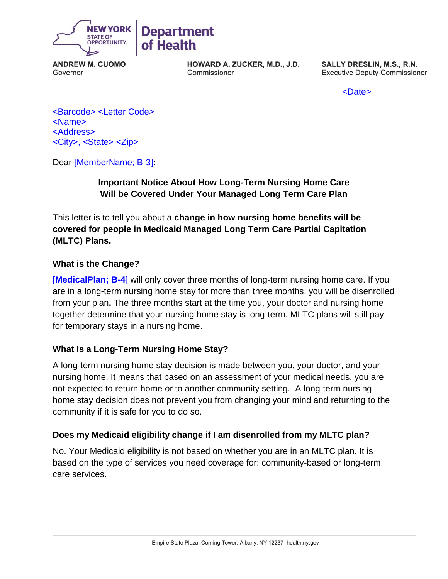

**ANDREW M. CUOMO** Governor

HOWARD A. ZUCKER, M.D., J.D. Commissioner

SALLY DRESLIN, M.S., R.N. **Executive Deputy Commissioner** 

<Date>

<Barcode> <Letter Code> <Name> <Address> <City>, <State> <Zip>

Dear [MemberName; B-3]**:**

# **Important Notice About How Long-Term Nursing Home Care Will be Covered Under Your Managed Long Term Care Plan**

This letter is to tell you about a **change in how nursing home benefits will be covered for people in Medicaid Managed Long Term Care Partial Capitation (MLTC) Plans.** 

#### **What is the Change?**

[**MedicalPlan; B-4**] will only cover three months of long-term nursing home care. If you are in a long-term nursing home stay for more than three months, you will be disenrolled from your plan**.** The three months start at the time you, your doctor and nursing home together determine that your nursing home stay is long-term. MLTC plans will still pay for temporary stays in a nursing home.

### **What Is a Long-Term Nursing Home Stay?**

A long-term nursing home stay decision is made between you, your doctor, and your nursing home. It means that based on an assessment of your medical needs, you are not expected to return home or to another community setting. A long-term nursing home stay decision does not prevent you from changing your mind and returning to the community if it is safe for you to do so.

### **Does my Medicaid eligibility change if I am disenrolled from my MLTC plan?**

No. Your Medicaid eligibility is not based on whether you are in an MLTC plan. It is based on the type of services you need coverage for: community-based or long-term care services.